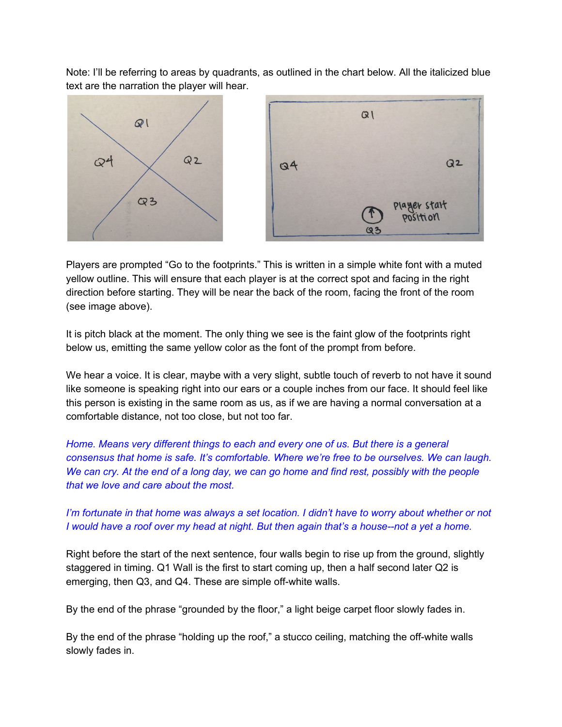Note: I'll be referring to areas by quadrants, as outlined in the chart below. All the italicized blue text are the narration the player will hear.



Players are prompted "Go to the footprints." This is written in a simple white font with a muted yellow outline. This will ensure that each player is at the correct spot and facing in the right direction before starting. They will be near the back of the room, facing the front of the room (see image above).

It is pitch black at the moment. The only thing we see is the faint glow of the footprints right below us, emitting the same yellow color as the font of the prompt from before.

We hear a voice. It is clear, maybe with a very slight, subtle touch of reverb to not have it sound like someone is speaking right into our ears or a couple inches from our face. It should feel like this person is existing in the same room as us, as if we are having a normal conversation at a comfortable distance, not too close, but not too far.

*Home. Means very different things to each and every one of us. But there is a general consensus that home is safe. It's comfortable. Where we're free to be ourselves. We can laugh.* We can cry. At the end of a long day, we can go home and find rest, possibly with the people *that we love and care about the most.*

## I'm fortunate in that home was always a set location. I didn't have to worry about whether or not I would have a roof over my head at night. But then again that's a house--not a yet a home.

Right before the start of the next sentence, four walls begin to rise up from the ground, slightly staggered in timing. Q1 Wall is the first to start coming up, then a half second later Q2 is emerging, then Q3, and Q4. These are simple off-white walls.

By the end of the phrase "grounded by the floor," a light beige carpet floor slowly fades in.

By the end of the phrase "holding up the roof," a stucco ceiling, matching the off-white walls slowly fades in.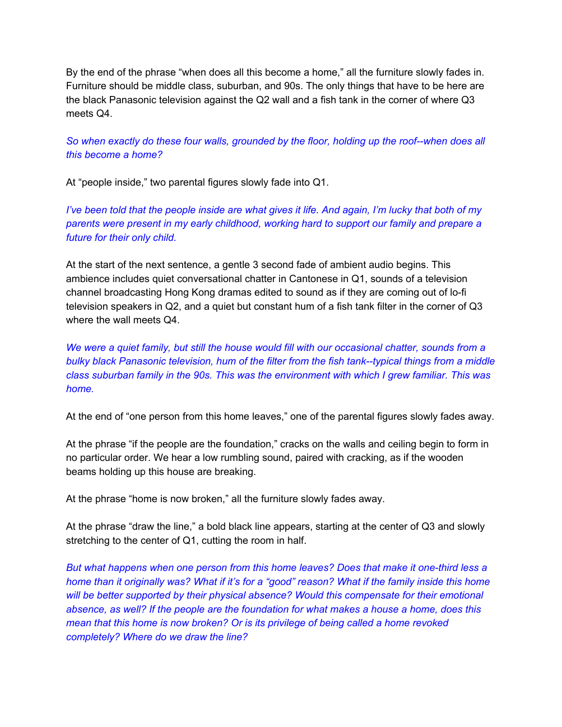By the end of the phrase "when does all this become a home," all the furniture slowly fades in. Furniture should be middle class, suburban, and 90s. The only things that have to be here are the black Panasonic television against the Q2 wall and a fish tank in the corner of where Q3 meets Q4.

*So when exactly do these four walls, grounded by the floor, holding up the roof--when does all this become a home?*

At "people inside," two parental figures slowly fade into Q1.

I've been told that the people inside are what gives it life. And again, I'm lucky that both of my *parents were present in my early childhood, working hard to support our family and prepare a future for their only child.*

At the start of the next sentence, a gentle 3 second fade of ambient audio begins. This ambience includes quiet conversational chatter in Cantonese in Q1, sounds of a television channel broadcasting Hong Kong dramas edited to sound as if they are coming out of lo-fi television speakers in Q2, and a quiet but constant hum of a fish tank filter in the corner of Q3 where the wall meets Q4.

*We were a quiet family, but still the house would fill with our occasional chatter, sounds from a bulky black Panasonic television, hum of the filter from the fish tank--typical things from a middle class suburban family in the 90s. This was the environment with which I grew familiar. This was home.*

At the end of "one person from this home leaves," one of the parental figures slowly fades away.

At the phrase "if the people are the foundation," cracks on the walls and ceiling begin to form in no particular order. We hear a low rumbling sound, paired with cracking, as if the wooden beams holding up this house are breaking.

At the phrase "home is now broken," all the furniture slowly fades away.

At the phrase "draw the line," a bold black line appears, starting at the center of Q3 and slowly stretching to the center of Q1, cutting the room in half.

*But what happens when one person from this home leaves? Does that make it one-third less a* home than it originally was? What if it's for a "good" reason? What if the family inside this home *will be better supported by their physical absence? Would this compensate for their emotional absence, as well? If the people are the foundation for what makes a house a home, does this mean that this home is now broken? Or is its privilege of being called a home revoked completely? Where do we draw the line?*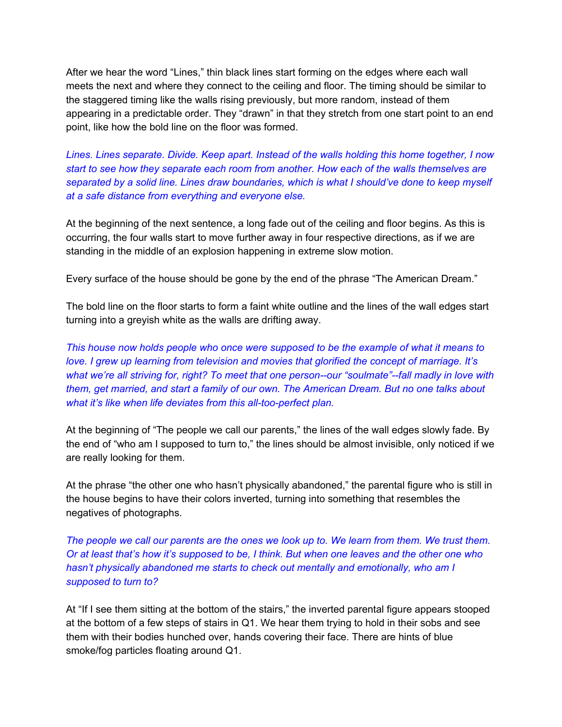After we hear the word "Lines," thin black lines start forming on the edges where each wall meets the next and where they connect to the ceiling and floor. The timing should be similar to the staggered timing like the walls rising previously, but more random, instead of them appearing in a predictable order. They "drawn" in that they stretch from one start point to an end point, like how the bold line on the floor was formed.

*Lines. Lines separate. Divide. Keep apart. Instead of the walls holding this home together, I now start to see how they separate each room from another. How each of the walls themselves are separated by a solid line. Lines draw boundaries, which is what I should've done to keep myself at a safe distance from everything and everyone else.*

At the beginning of the next sentence, a long fade out of the ceiling and floor begins. As this is occurring, the four walls start to move further away in four respective directions, as if we are standing in the middle of an explosion happening in extreme slow motion.

Every surface of the house should be gone by the end of the phrase "The American Dream."

The bold line on the floor starts to form a faint white outline and the lines of the wall edges start turning into a greyish white as the walls are drifting away.

*This house now holds people who once were supposed to be the example of what it means to love. I grew up learning from television and movies that glorified the concept of marriage. It's what we're all striving for, right? To meet that one person--our "soulmate"--fall madly in love with them, get married, and start a family of our own. The American Dream. But no one talks about what it's like when life deviates from this all-too-perfect plan.*

At the beginning of "The people we call our parents," the lines of the wall edges slowly fade. By the end of "who am I supposed to turn to," the lines should be almost invisible, only noticed if we are really looking for them.

At the phrase "the other one who hasn't physically abandoned," the parental figure who is still in the house begins to have their colors inverted, turning into something that resembles the negatives of photographs.

The people we call our parents are the ones we look up to. We learn from them. We trust them. Or at least that's how it's supposed to be, I think. But when one leaves and the other one who *hasn't physically abandoned me starts to check out mentally and emotionally, who am I supposed to turn to?*

At "If I see them sitting at the bottom of the stairs," the inverted parental figure appears stooped at the bottom of a few steps of stairs in Q1. We hear them trying to hold in their sobs and see them with their bodies hunched over, hands covering their face. There are hints of blue smoke/fog particles floating around Q1.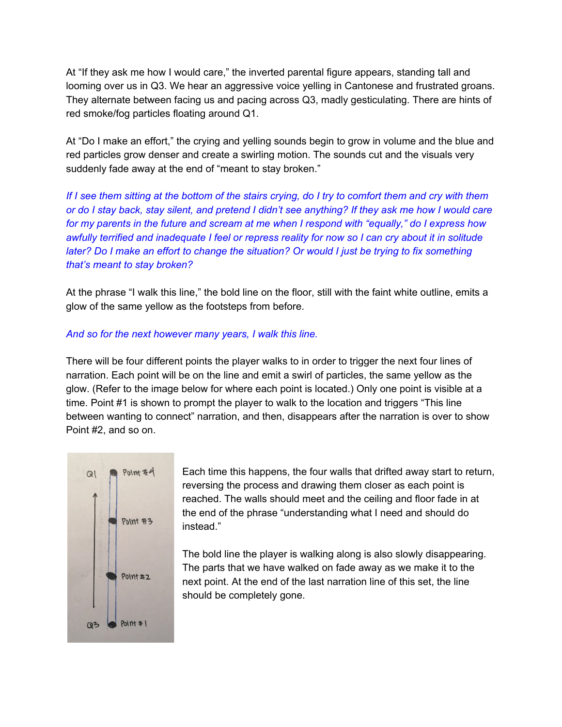At "If they ask me how I would care," the inverted parental figure appears, standing tall and looming over us in Q3. We hear an aggressive voice yelling in Cantonese and frustrated groans. They alternate between facing us and pacing across Q3, madly gesticulating. There are hints of red smoke/fog particles floating around Q1.

At "Do I make an effort," the crying and yelling sounds begin to grow in volume and the blue and red particles grow denser and create a swirling motion. The sounds cut and the visuals very suddenly fade away at the end of "meant to stay broken."

If I see them sitting at the bottom of the stairs crying, do I try to comfort them and cry with them or do I stay back, stay silent, and pretend I didn't see anything? If they ask me how I would care for my parents in the future and scream at me when I respond with "equally," do I express how awfully terrified and inadequate I feel or repress reality for now so I can cry about it in solitude later? Do I make an effort to change the situation? Or would I just be trying to fix something *that's meant to stay broken?*

At the phrase "I walk this line," the bold line on the floor, still with the faint white outline, emits a glow of the same yellow as the footsteps from before.

## *And so for the next however many years, I walk this line.*

There will be four different points the player walks to in order to trigger the next four lines of narration. Each point will be on the line and emit a swirl of particles, the same yellow as the glow. (Refer to the image below for where each point is located.) Only one point is visible at a time. Point #1 is shown to prompt the player to walk to the location and triggers "This line between wanting to connect" narration, and then, disappears after the narration is over to show Point #2, and so on.



Each time this happens, the four walls that drifted away start to return, reversing the process and drawing them closer as each point is reached. The walls should meet and the ceiling and floor fade in at the end of the phrase "understanding what I need and should do instead."

The bold line the player is walking along is also slowly disappearing. The parts that we have walked on fade away as we make it to the next point. At the end of the last narration line of this set, the line should be completely gone.